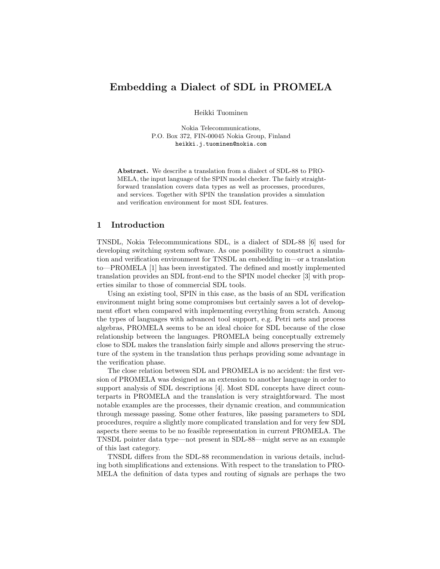# **Embedding a Dialect of SDL in PROMELA**

Heikki Tuominen

Nokia Telecommunications, P.O. Box 372, FIN-00045 Nokia Group, Finland heikki.j.tuominen@nokia.com

**Abstract.** We describe a translation from a dialect of SDL-88 to PRO-MELA, the input language of the SPIN model checker. The fairly straightforward translation covers data types as well as processes, procedures, and services. Together with SPIN the translation provides a simulation and verification environment for most SDL features.

## **1 Introduction**

TNSDL, Nokia Telecommunications SDL, is a dialect of SDL-88 [6] used for developing switching system software. As one possibility to construct a simulation and verification environment for TNSDL an embedding in—or a translation to—PROMELA [1] has been investigated. The defined and mostly implemented translation provides an SDL front-end to the SPIN model checker [3] with properties similar to those of commercial SDL tools.

Using an existing tool, SPIN in this case, as the basis of an SDL verification environment might bring some compromises but certainly saves a lot of development effort when compared with implementing everything from scratch. Among the types of languages with advanced tool support, e.g. Petri nets and process algebras, PROMELA seems to be an ideal choice for SDL because of the close relationship between the languages. PROMELA being conceptually extremely close to SDL makes the translation fairly simple and allows preserving the structure of the system in the translation thus perhaps providing some advantage in the verification phase.

The close relation between SDL and PROMELA is no accident: the first version of PROMELA was designed as an extension to another language in order to support analysis of SDL descriptions [4]. Most SDL concepts have direct counterparts in PROMELA and the translation is very straightforward. The most notable examples are the processes, their dynamic creation, and communication through message passing. Some other features, like passing parameters to SDL procedures, require a slightly more complicated translation and for very few SDL aspects there seems to be no feasible representation in current PROMELA. The TNSDL pointer data type—not present in SDL-88—might serve as an example of this last category.

TNSDL differs from the SDL-88 recommendation in various details, including both simplifications and extensions. With respect to the translation to PRO-MELA the definition of data types and routing of signals are perhaps the two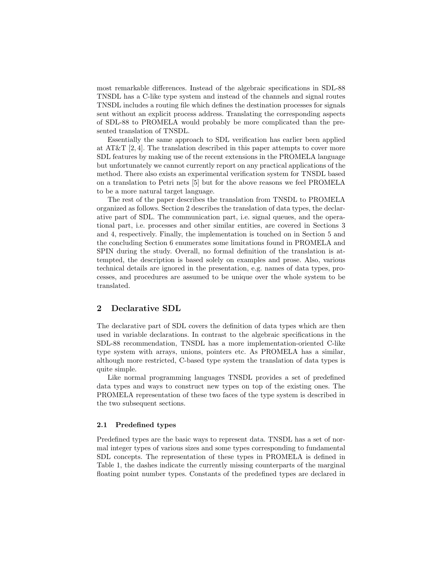most remarkable differences. Instead of the algebraic specifications in SDL-88 TNSDL has a C-like type system and instead of the channels and signal routes TNSDL includes a routing file which defines the destination processes for signals sent without an explicit process address. Translating the corresponding aspects of SDL-88 to PROMELA would probably be more complicated than the presented translation of TNSDL.

Essentially the same approach to SDL verification has earlier been applied at AT&T  $[2, 4]$ . The translation described in this paper attempts to cover more SDL features by making use of the recent extensions in the PROMELA language but unfortunately we cannot currently report on any practical applications of the method. There also exists an experimental verification system for TNSDL based on a translation to Petri nets [5] but for the above reasons we feel PROMELA to be a more natural target language.

The rest of the paper describes the translation from TNSDL to PROMELA organized as follows. Section 2 describes the translation of data types, the declarative part of SDL. The communication part, i.e. signal queues, and the operational part, i.e. processes and other similar entities, are covered in Sections 3 and 4, respectively. Finally, the implementation is touched on in Section 5 and the concluding Section 6 enumerates some limitations found in PROMELA and SPIN during the study. Overall, no formal definition of the translation is attempted, the description is based solely on examples and prose. Also, various technical details are ignored in the presentation, e.g. names of data types, processes, and procedures are assumed to be unique over the whole system to be translated.

## **2 Declarative SDL**

The declarative part of SDL covers the definition of data types which are then used in variable declarations. In contrast to the algebraic specifications in the SDL-88 recommendation, TNSDL has a more implementation-oriented C-like type system with arrays, unions, pointers etc. As PROMELA has a similar, although more restricted, C-based type system the translation of data types is quite simple.

Like normal programming languages TNSDL provides a set of predefined data types and ways to construct new types on top of the existing ones. The PROMELA representation of these two faces of the type system is described in the two subsequent sections.

### **2.1 Predefined types**

Predefined types are the basic ways to represent data. TNSDL has a set of normal integer types of various sizes and some types corresponding to fundamental SDL concepts. The representation of these types in PROMELA is defined in Table 1, the dashes indicate the currently missing counterparts of the marginal floating point number types. Constants of the predefined types are declared in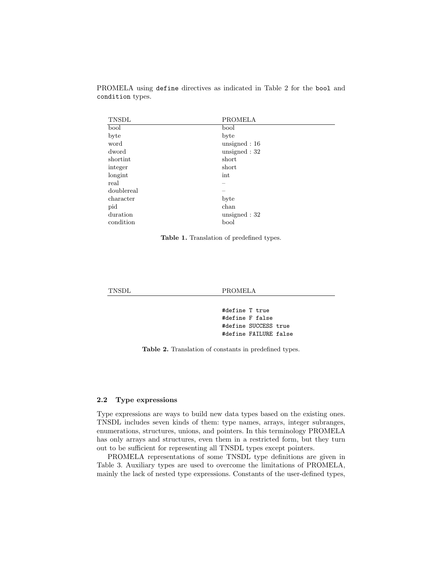| <b>TNSDL</b> | <b>PROMELA</b>  |
|--------------|-----------------|
| bool         | bool            |
| byte         | byte            |
| word         | unsigned $: 16$ |
| dword        | unsigned : $32$ |
| shortint     | short           |
| integer      | short           |
| longint      | int             |
| real         |                 |
| doublereal   |                 |
| character    | byte            |
| pid          | chan            |
| duration     | unsigned : $32$ |
| condition    | bool            |

PROMELA using define directives as indicated in Table 2 for the bool and condition types.

**Table 1.** Translation of predefined types.

TNSDL PROMELA

#define T true #define F false #define SUCCESS true #define FAILURE false

**Table 2.** Translation of constants in predefined types.

#### **2.2 Type expressions**

Type expressions are ways to build new data types based on the existing ones. TNSDL includes seven kinds of them: type names, arrays, integer subranges, enumerations, structures, unions, and pointers. In this terminology PROMELA has only arrays and structures, even them in a restricted form, but they turn out to be sufficient for representing all TNSDL types except pointers.

PROMELA representations of some TNSDL type definitions are given in Table 3. Auxiliary types are used to overcome the limitations of PROMELA, mainly the lack of nested type expressions. Constants of the user-defined types,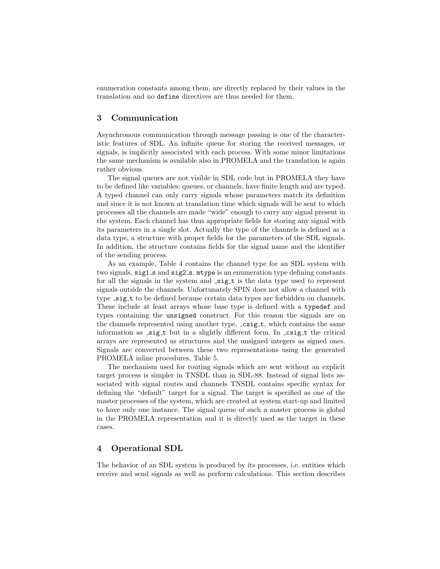enumeration constants among them, are directly replaced by their values in the translation and no define directives are thus needed for them.

## **3 Communication**

Asynchronous communication through message passing is one of the characteristic features of SDL. An infinite queue for storing the received messages, or signals, is implicitly associated with each process. With some minor limitations the same mechanism is available also in PROMELA and the translation is again rather obvious.

The signal queues are not visible in SDL code but in PROMELA they have to be defined like variables: queues, or channels, have finite length and are typed. A typed channel can only carry signals whose parameters match its definition and since it is not known at translation time which signals will be sent to which processes all the channels are made "wide" enough to carry any signal present in the system. Each channel has thus appropriate fields for storing any signal with its parameters in a single slot. Actually the type of the channels is defined as a data type, a structure with proper fields for the parameters of the SDL signals. In addition, the structure contains fields for the signal name and the identifier of the sending process.

As an example, Table 4 contains the channel type for an SDL system with two signals,  $sig1_s$  and  $sig2_s$ . mtype is an enumeration type defining constants for all the signals in the system and  $\text{sig}_t$  is the data type used to represent signals outside the channels. Unfortunately SPIN does not allow a channel with type sig-t to be defined because certain data types are forbidden on channels. These include at least arrays whose base type is defined with a typedef and types containing the unsigned construct. For this reason the signals are on the channels represented using another type,  $\text{csig\_t}$ , which contains the same information as  $\text{sig}_t$  but in a slightly different form. In  $\text{cos}_t$  the critical arrays are represented as structures and the unsigned integers as signed ones. Signals are converted between these two representations using the generated PROMELA inline procedures, Table 5.

The mechanism used for routing signals which are sent without an explicit target process is simpler in TNSDL than in SDL-88. Instead of signal lists associated with signal routes and channels TNSDL contains specific syntax for defining the "default" target for a signal. The target is specified as one of the master processes of the system, which are created at system start-up and limited to have only one instance. The signal queue of such a master process is global in the PROMELA representation and it is directly used as the target in these cases.

## **4 Operational SDL**

The behavior of an SDL system is produced by its processes, i.e. entities which receive and send signals as well as perform calculations. This section describes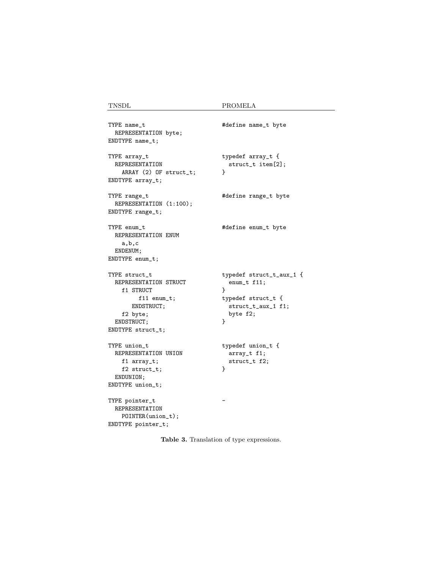TYPE name\_t REPRESENTATION byte; ENDTYPE name\_t; TYPE array\_t REPRESENTATION ARRAY (2) OF struct\_t; ENDTYPE array\_t; TYPE range\_t REPRESENTATION (1:100); ENDTYPE range\_t; TYPE enum\_t REPRESENTATION ENUM a,b,c ENDENUM; ENDTYPE enum\_t; TYPE struct\_t REPRESENTATION STRUCT f1 STRUCT f11 enum\_t; ENDSTRUCT; f2 byte; ENDSTRUCT; ENDTYPE struct\_t; TYPE union\_t REPRESENTATION UNION f1 array\_t; f2 struct\_t; ENDUNION; ENDTYPE union\_t; TYPE pointer\_t REPRESENTATION POINTER(union\_t); ENDTYPE pointer\_t; #define name\_t byte typedef array\_t { struct\_t item[2]; } #define range\_t byte #define enum\_t byte typedef struct\_t\_aux\_1 { enum\_t f11; } typedef struct\_t { struct\_t\_aux\_1 f1; byte f2; } typedef union\_t { array\_t f1; struct\_t f2; } -

**Table 3.** Translation of type expressions.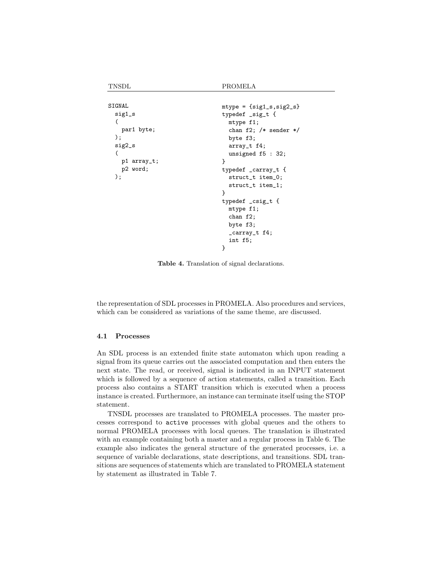```
SIGNAL
  sig1_s
  (
    par1 byte;
  );
  sig2_s
  (
    p1 array_t;
    p2 word;
  );
                                   mtype = {sig1_s, sig2_s}typedef _sig_t {
                                      mtype f1;
                                      chan f2; /* sender */
                                      byte f3;
                                      array_t f4;
                                      unsigned f5 : 32;
                                   }
                                   typedef _carray_t {
                                      struct_t item_0;
                                      struct_t item_1;
                                   }
                                   typedef _csig_t {
                                      mtype f1;
                                      chan f2;
                                      byte f3;
                                      _carray_t f4;
                                      int f5;
                                   }
```
**Table 4.** Translation of signal declarations.

the representation of SDL processes in PROMELA. Also procedures and services, which can be considered as variations of the same theme, are discussed.

#### **4.1 Processes**

An SDL process is an extended finite state automaton which upon reading a signal from its queue carries out the associated computation and then enters the next state. The read, or received, signal is indicated in an INPUT statement which is followed by a sequence of action statements, called a transition. Each process also contains a START transition which is executed when a process instance is created. Furthermore, an instance can terminate itself using the STOP statement.

TNSDL processes are translated to PROMELA processes. The master processes correspond to active processes with global queues and the others to normal PROMELA processes with local queues. The translation is illustrated with an example containing both a master and a regular process in Table 6. The example also indicates the general structure of the generated processes, i.e. a sequence of variable declarations, state descriptions, and transitions. SDL transitions are sequences of statements which are translated to PROMELA statement by statement as illustrated in Table 7.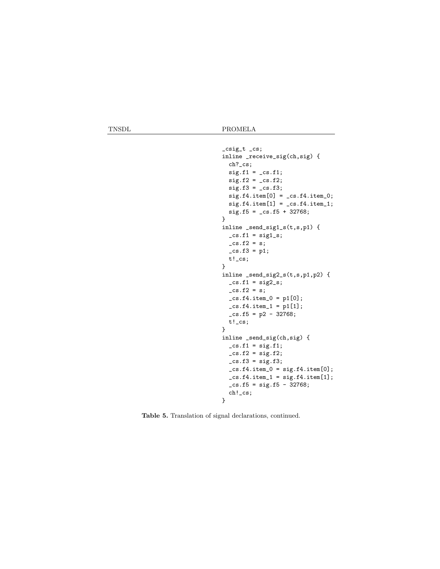```
_csig_t _cs;
inline _receive_sig(ch,sig) {
  ch?_cs;
  sig.f1 = _cs.f1;sig.f2 = _cs.f2;sig.f3 = _cs.f3;sig.f4.item[0] = _cs.f4.item_0;sig.f4.item[1] = _cs.f4.item_1;sig.f5 = _cs.f5 + 32768;}
inline _send_sig1_s(t,s,p1) {
  _ccs.f1 = sig1_s;
  \text{\_cs.f2} = \text{\_s};_ccs.f3 = p1;
  t!_cs;
}
inline _send_sig2_s(t,s,p1,p2) {
  _ccs.f1 = sig2_s;
  _ccs.f2 = s;
  _ccs.f4.item_0 = p1[0];_ccs.f4.item_1 = p1[1];_ccs.f5 = p2 - 32768;
  t!_cs;
}
inline _send_sig(ch,sig) {
  _ccs.f1 = sig.f1;
  _ccs.f2 = sig.f2;
  _ccs.f3 = sig.f3;
  _ccs.f4.item_0 = sig.f4.item[0];_ccs.f4.item_1 = sig.f4.item[1];
  _ccs.f5 = sig.f5 - 32768;
  ch!_cs;
}
```
**Table 5.** Translation of signal declarations, continued.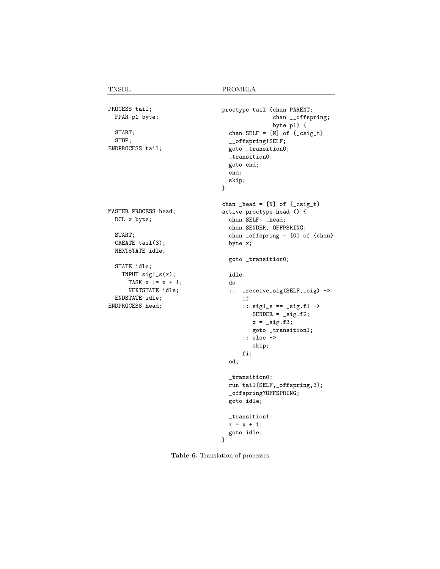```
PROCESS tail;
  FPAR p1 byte;
  START;
  STOP;
ENDPROCESS tail;
MASTER PROCESS head;
  DCL x byte;
  START;
  CREATE tail(3);
  NEXTSTATE idle;
  STATE idle;
    INPUT sig1_s(x);
      TASK x := x + 1;
      NEXTSTATE idle;
  ENDSTATE idle;
ENDPROCESS head;
                                    proctype tail (chan PARENT;
                                                     chan __offspring;
                                                     byte p1) {
                                      chan SELF = [N] of \{ \text{csig}_t \}__offspring!SELF;
                                      goto _transition0;
                                      _transition0:
                                      goto end;
                                      end:
                                      skip;
                                    }
                                    chan _\text{head} = [N] of _{\text{csig_t}}active proctype head () {
                                      chan SELF= _head;
                                      chan SENDER, OFFPSRING;
                                      chan _offspring = [0] of {chan}
                                      byte x;
                                      goto _transition0;
                                      idle:
                                      do
                                      :: _receive_sig(SELF,_sig) ->
                                           if
                                           :: sig1_s == _sig.f1 ->
                                              SENDER = <math>sig.f2;</math>x = \text{sig.f3};goto _transition1;
                                           :: else ->
                                              skip;
                                           fi;
                                      od;
                                      _transition0:
                                      run tail(SELF,_offspring,3);
                                      _offspring?OFFSPRING;
                                      goto idle;
                                      _transition1:
                                      x = x + 1;
                                      goto idle;
                                    }
```
**Table 6.** Translation of processes.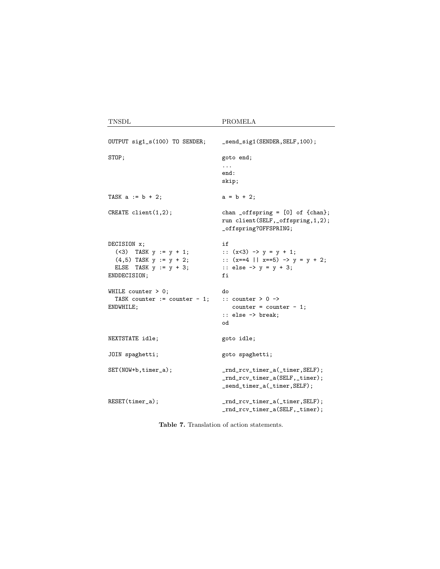TNSDL PROMELA

```
OUTPUT sig1_s(100) TO SENDER;
STOP;
TASK a := b + 2;
CREATE client(1,2);
DECISION x;
  (<b>3</b>) TASK y := y + 1;
  (4,5) TASK y := y + 2;
  ELSE TASK y := y + 3;
ENDDECISION;
WHILE counter > 0;
  TASK counter := counter -1;
ENDWHILE;
NEXTSTATE idle;
JOIN spaghetti;
SET(NOW+b,timer_a);
RESET(timer_a);
                                  _send_sig1(SENDER,SELF,100);
                                  goto end;
                                  ...
                                  end:
                                  skip;
                                  a = b + 2;
                                  chan _offspring = [0] of {chan};
                                  run client(SELF,_offspring,1,2);
                                  _offspring?OFFSPRING;
                                  if
                                  :: (x<3) \rightarrow y = y + 1;:: (x==4 || x==5) -> y = y + 2;
                                  :: else -> y = y + 3;
                                  fi
                                  do
                                  :: counter > 0 ->
                                     counter = counter - 1;:: else -> break;
                                  od
                                  goto idle;
                                  goto spaghetti;
                                  _rnd_rcv_timer_a(_timer,SELF);
                                  _rnd_rcv_timer_a(SELF,_timer);
                                  _send_timer_a(_timer,SELF);
                                  _rnd_rcv_timer_a(_timer,SELF);
                                  _rnd_rcv_timer_a(SELF,_timer);
```
**Table 7.** Translation of action statements.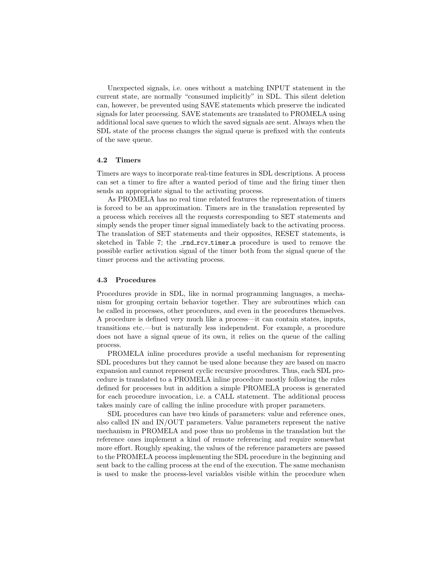Unexpected signals, i.e. ones without a matching INPUT statement in the current state, are normally "consumed implicitly" in SDL. This silent deletion can, however, be prevented using SAVE statements which preserve the indicated signals for later processing. SAVE statements are translated to PROMELA using additional local save queues to which the saved signals are sent. Always when the SDL state of the process changes the signal queue is prefixed with the contents of the save queue.

#### **4.2 Timers**

Timers are ways to incorporate real-time features in SDL descriptions. A process can set a timer to fire after a wanted period of time and the firing timer then sends an appropriate signal to the activating process.

As PROMELA has no real time related features the representation of timers is forced to be an approximation. Timers are in the translation represented by a process which receives all the requests corresponding to SET statements and simply sends the proper timer signal immediately back to the activating process. The translation of SET statements and their opposites, RESET statements, is sketched in Table 7; the **rnd** rcv timer a procedure is used to remove the possible earlier activation signal of the timer both from the signal queue of the timer process and the activating process.

#### **4.3 Procedures**

Procedures provide in SDL, like in normal programming languages, a mechanism for grouping certain behavior together. They are subroutines which can be called in processes, other procedures, and even in the procedures themselves. A procedure is defined very much like a process—it can contain states, inputs, transitions etc.—but is naturally less independent. For example, a procedure does not have a signal queue of its own, it relies on the queue of the calling process.

PROMELA inline procedures provide a useful mechanism for representing SDL procedures but they cannot be used alone because they are based on macro expansion and cannot represent cyclic recursive procedures. Thus, each SDL procedure is translated to a PROMELA inline procedure mostly following the rules defined for processes but in addition a simple PROMELA process is generated for each procedure invocation, i.e. a CALL statement. The additional process takes mainly care of calling the inline procedure with proper parameters.

SDL procedures can have two kinds of parameters: value and reference ones, also called IN and IN/OUT parameters. Value parameters represent the native mechanism in PROMELA and pose thus no problems in the translation but the reference ones implement a kind of remote referencing and require somewhat more effort. Roughly speaking, the values of the reference parameters are passed to the PROMELA process implementing the SDL procedure in the beginning and sent back to the calling process at the end of the execution. The same mechanism is used to make the process-level variables visible within the procedure when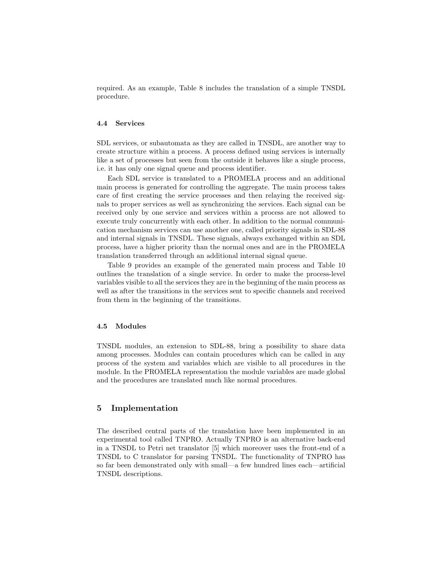required. As an example, Table 8 includes the translation of a simple TNSDL procedure.

### **4.4 Services**

SDL services, or subautomata as they are called in TNSDL, are another way to create structure within a process. A process defined using services is internally like a set of processes but seen from the outside it behaves like a single process, i.e. it has only one signal queue and process identifier.

Each SDL service is translated to a PROMELA process and an additional main process is generated for controlling the aggregate. The main process takes care of first creating the service processes and then relaying the received signals to proper services as well as synchronizing the services. Each signal can be received only by one service and services within a process are not allowed to execute truly concurrently with each other. In addition to the normal communication mechanism services can use another one, called priority signals in SDL-88 and internal signals in TNSDL. These signals, always exchanged within an SDL process, have a higher priority than the normal ones and are in the PROMELA translation transferred through an additional internal signal queue.

Table 9 provides an example of the generated main process and Table 10 outlines the translation of a single service. In order to make the process-level variables visible to all the services they are in the beginning of the main process as well as after the transitions in the services sent to specific channels and received from them in the beginning of the transitions.

### **4.5 Modules**

TNSDL modules, an extension to SDL-88, bring a possibility to share data among processes. Modules can contain procedures which can be called in any process of the system and variables which are visible to all procedures in the module. In the PROMELA representation the module variables are made global and the procedures are translated much like normal procedures.

## **5 Implementation**

The described central parts of the translation have been implemented in an experimental tool called TNPRO. Actually TNPRO is an alternative back-end in a TNSDL to Petri net translator [5] which moreover uses the front-end of a TNSDL to C translator for parsing TNSDL. The functionality of TNPRO has so far been demonstrated only with small—a few hundred lines each—artificial TNSDL descriptions.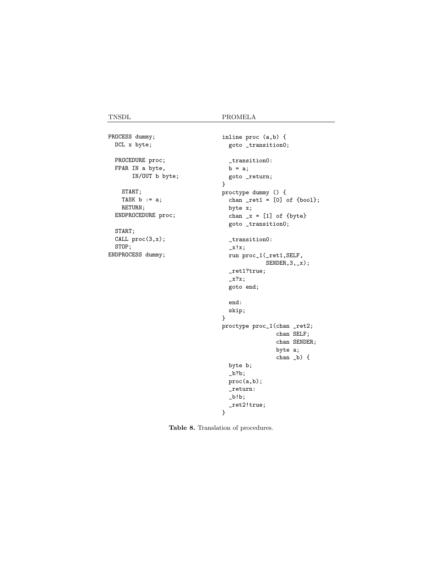```
PROCESS dummy;
  DCL x byte;
  PROCEDURE proc;
  FPAR IN a byte,
       IN/OUT b byte;
    START;
    TASK b := a;
    RETURN;
  ENDPROCEDURE proc;
  START;
  CALL proc(3, x);STOP;
ENDPROCESS dummy;
                                    inline proc (a,b) {
                                      goto _transition0;
                                      _transition0:
                                      b = a;goto _return;
                                    }
                                    proctype dummy () {
                                      chan _{\text{ret1}} = [0] of \{ \text{bool} \};byte x;
                                      chan _x = [1] of {byte}
                                      goto _transition0;
                                      _transition0:
                                      -x!x;run proc_1(_ret1,SELF,
                                                  SENDER,3,_x);
                                      _ret1?true;
                                      _{x?x;}goto end;
                                      end:
                                      skip;
                                    }
                                    proctype proc_1(chan _ret2;
                                                     chan SELF;
                                                     chan SENDER;
                                                     byte a;
                                                     chan _b) {
                                      byte b;
                                      _b?b;
                                      proc(a,b);
                                      _return:
                                      _b!b;_ret2!true;
                                    }
```
**Table 8.** Translation of procedures.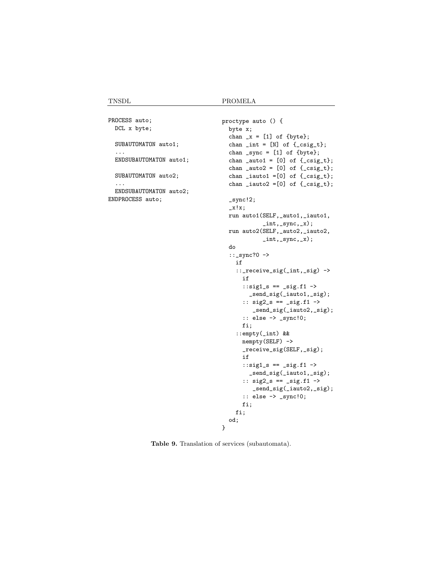PROCESS auto; DCL x byte; SUBAUTOMATON auto1; ... ENDSUBAUTOMATON auto1; SUBAUTOMATON auto2; ... ENDSUBAUTOMATON auto2; ENDPROCESS auto;

```
proctype auto () {
  byte x;
  chan _x = [1] of \{byte\};chan \_int = [N] of \{ \_csig_t \};
  chan _sync = [1] of {byte};
  chan _auto1 = [0] of \{ \text{csig}_t \};
  chan _auto2 = [0] of \{ \text{csig}_t \};
  chan _iauto1 =[0] of \{ \text{csig}_t \};
  chan _iauto2 =[0] of {csig_t};_sync!2;
  _{x!x;}run auto1(SELF,_auto1,_iauto1,
             \_int, _sync, _x);run auto2(SELF,_auto2,_iauto2,
             \_int, _sync, _x);do
  ::_sync?0 ->
    if
    ::_receive_sig(_int,_sig) ->
      if
      ::sig1_s == _sig.f1 ->
        _send_sig(_iauto1,_sig);
      :: sig2_s == _sig.f1 ->
         _send_sig(_iauto2,_sig);
      :: else -> _sync!0;
      fi;
    ::empty(_int) &&
      nempty(SELF) ->
      _receive_sig(SELF,_sig);
      if
      ::sig1_s == _sig.f1 ->
        _send_sig(_iauto1,_sig);
      :: sig2_s == _sig.f1 ->
         _send_sig(_iauto2,_sig);
      :: else -> _sync!0;
      fi;
    fi;
  od;
}
```
**Table 9.** Translation of services (subautomata).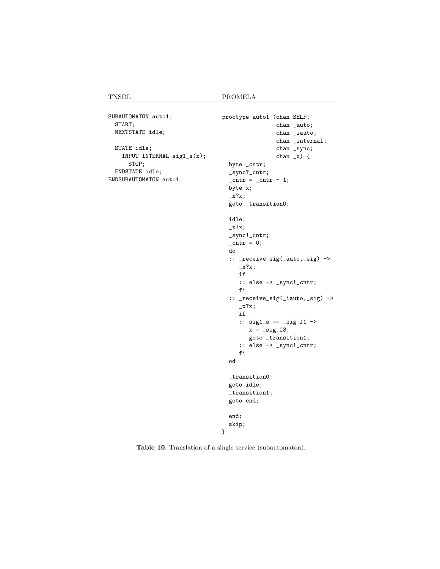```
SUBAUTOMATON auto1;
  START;
  NEXTSTATE idle;
  STATE idle;
    INPUT INTERNAL sig1_s(x);
      STOP;
  ENDSTATE idle;
ENDSUBAUTOMATON auto1;
                                   proctype auto1 (chan SELF;
                                                     chan _auto;
                                                     chan _iauto;
                                                     chan _internal;
                                                     chan _sync;
                                                     chan _x) {
                                      byte _cntr;
                                      _sync?_cntr;
                                      _lcntr = _lcntr - 1;
                                      byte x;
                                      _x?x;
                                      goto _transition0;
                                      idle:
                                      -x!x;_sync!_cntr;
                                      _{\text{cntr}} = 0;
                                      do
                                      :: _receive_sig(_auto,_sig) ->
                                         \_x?x;if
                                         :: else -> _sync!_cntr;
                                         fi
                                      :: _receive_sig(_iauto,_sig) ->
                                         _{x?x;}if
                                         :: sig1_s == _sig.f1 ->
                                            x = \text{sig.f3};goto _transition1;
                                         :: else -> _sync!_cntr;
                                         fi
                                      od
                                      _transition0:
                                      goto idle;
                                      _transition1;
                                      goto end;
                                      end:
                                      skip;
                                    }
```
**Table 10.** Translation of a single service (subautomaton).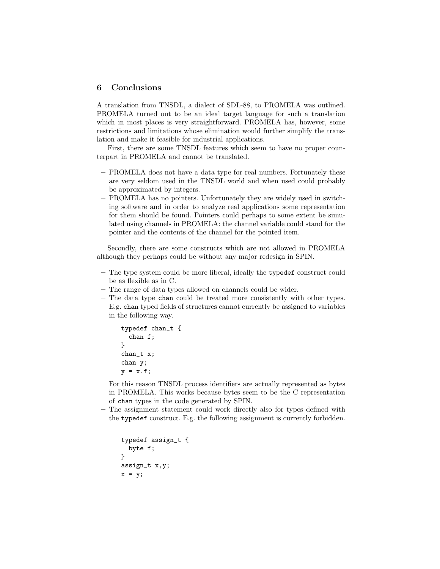# **6 Conclusions**

A translation from TNSDL, a dialect of SDL-88, to PROMELA was outlined. PROMELA turned out to be an ideal target language for such a translation which in most places is very straightforward. PROMELA has, however, some restrictions and limitations whose elimination would further simplify the translation and make it feasible for industrial applications.

First, there are some TNSDL features which seem to have no proper counterpart in PROMELA and cannot be translated.

- **–** PROMELA does not have a data type for real numbers. Fortunately these are very seldom used in the TNSDL world and when used could probably be approximated by integers.
- **–** PROMELA has no pointers. Unfortunately they are widely used in switching software and in order to analyze real applications some representation for them should be found. Pointers could perhaps to some extent be simulated using channels in PROMELA: the channel variable could stand for the pointer and the contents of the channel for the pointed item.

Secondly, there are some constructs which are not allowed in PROMELA although they perhaps could be without any major redesign in SPIN.

- **–** The type system could be more liberal, ideally the typedef construct could be as flexible as in C.
- **–** The range of data types allowed on channels could be wider.
- **–** The data type chan could be treated more consistently with other types. E.g. chan typed fields of structures cannot currently be assigned to variables in the following way.

```
typedef chan_t {
  chan f;
}
chan_t x;
chan y;
y = x.f;
```
For this reason TNSDL process identifiers are actually represented as bytes in PROMELA. This works because bytes seem to be the C representation of chan types in the code generated by SPIN.

**–** The assignment statement could work directly also for types defined with the typedef construct. E.g. the following assignment is currently forbidden.

```
typedef assign_t {
 byte f;
}
assign_t x,y;
x = y;
```